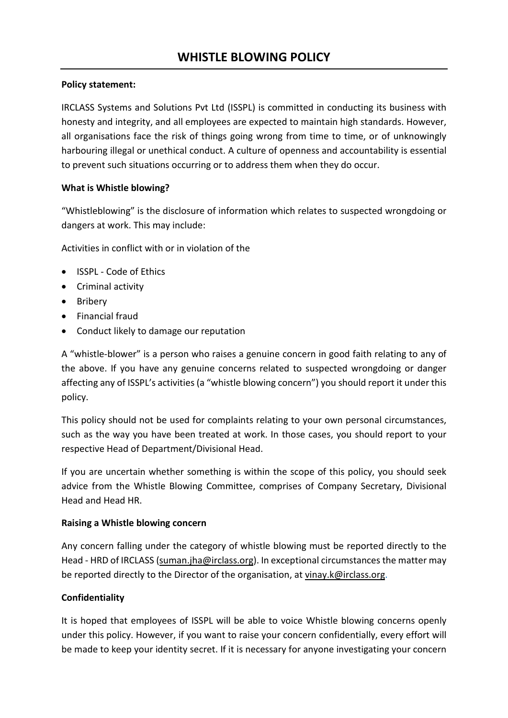## **Policy statement:**

IRCLASS Systems and Solutions Pvt Ltd (ISSPL) is committed in conducting its business with honesty and integrity, and all employees are expected to maintain high standards. However, all organisations face the risk of things going wrong from time to time, or of unknowingly harbouring illegal or unethical conduct. A culture of openness and accountability is essential to prevent such situations occurring or to address them when they do occur.

## **What is Whistle blowing?**

"Whistleblowing" is the disclosure of information which relates to suspected wrongdoing or dangers at work. This may include:

Activities in conflict with or in violation of the

- ISSPL Code of Ethics
- Criminal activity
- Bribery
- Financial fraud
- Conduct likely to damage our reputation

A "whistle-blower" is a person who raises a genuine concern in good faith relating to any of the above. If you have any genuine concerns related to suspected wrongdoing or danger affecting any of ISSPL's activities (a "whistle blowing concern") you should report it under this policy.

This policy should not be used for complaints relating to your own personal circumstances, such as the way you have been treated at work. In those cases, you should report to your respective Head of Department/Divisional Head.

If you are uncertain whether something is within the scope of this policy, you should seek advice from the Whistle Blowing Committee, comprises of Company Secretary, Divisional Head and Head HR.

## **Raising a Whistle blowing concern**

Any concern falling under the category of whistle blowing must be reported directly to the Head - HRD of IRCLASS [\(suman.jha@irclass.org\)](mailto:suman.jha@irclass.org). In exceptional circumstances the matter may be reported directly to the Director of the organisation, at [vinay.k@irclass.org.](mailto:vinay.k@irclass.org)

## **Confidentiality**

It is hoped that employees of ISSPL will be able to voice Whistle blowing concerns openly under this policy. However, if you want to raise your concern confidentially, every effort will be made to keep your identity secret. If it is necessary for anyone investigating your concern